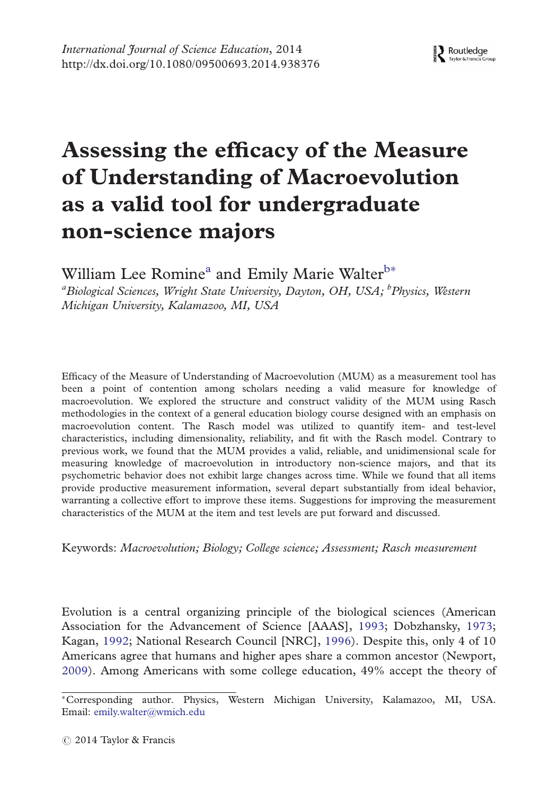# Assessing the efficacy of the Measure of Understanding of Macroevolution as a valid tool for undergraduate non-science majors

William Lee Romine<sup>a</sup> and Emily Marie Walter<sup>b</sup>\*

<sup>a</sup>Biological Sciences, Wright State University, Dayton, OH, USA; <sup>b</sup>Physics, Western Michigan University, Kalamazoo, MI, USA

Efficacy of the Measure of Understanding of Macroevolution (MUM) as a measurement tool has been a point of contention among scholars needing a valid measure for knowledge of macroevolution. We explored the structure and construct validity of the MUM using Rasch methodologies in the context of a general education biology course designed with an emphasis on macroevolution content. The Rasch model was utilized to quantify item- and test-level characteristics, including dimensionality, reliability, and fit with the Rasch model. Contrary to previous work, we found that the MUM provides a valid, reliable, and unidimensional scale for measuring knowledge of macroevolution in introductory non-science majors, and that its psychometric behavior does not exhibit large changes across time. While we found that all items provide productive measurement information, several depart substantially from ideal behavior, warranting a collective effort to improve these items. Suggestions for improving the measurement characteristics of the MUM at the item and test levels are put forward and discussed.

Keywords: Macroevolution; Biology; College science; Assessment; Rasch measurement

Evolution is a central organizing principle of the biological sciences (American Association for the Advancement of Science [AAAS], [1993;](#page-17-0) Dobzhansky, [1973;](#page-18-0) Kagan, [1992;](#page-18-0) National Research Council [NRC], [1996](#page-18-0)). Despite this, only 4 of 10 Americans agree that humans and higher apes share a common ancestor (Newport, [2009\)](#page-18-0). Among Americans with some college education, 49% accept the theory of

<sup>∗</sup>Corresponding author. Physics, Western Michigan University, Kalamazoo, MI, USA. Email: [emily.walter@wmich.edu](mailto:emily.walter@wmich.edu)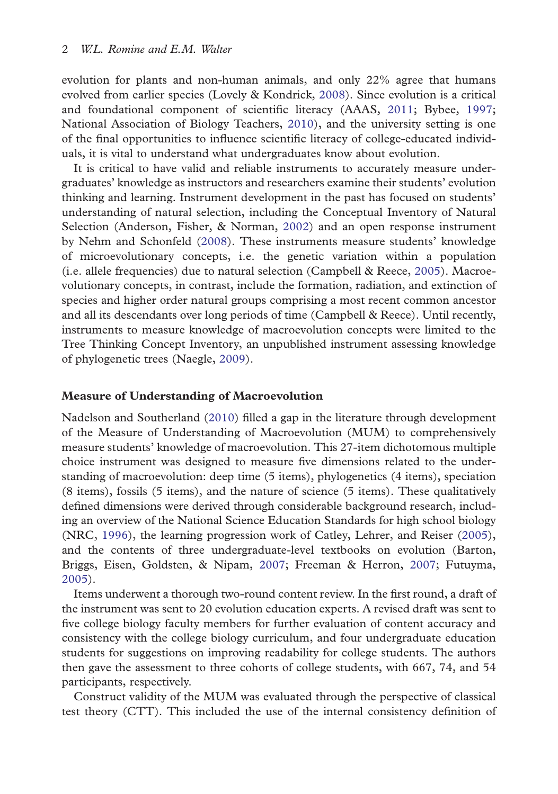evolution for plants and non-human animals, and only 22% agree that humans evolved from earlier species (Lovely & Kondrick, [2008](#page-18-0)). Since evolution is a critical and foundational component of scientific literacy (AAAS, [2011;](#page-17-0) Bybee, [1997;](#page-17-0) National Association of Biology Teachers, [2010](#page-18-0)), and the university setting is one of the final opportunities to influence scientific literacy of college-educated individuals, it is vital to understand what undergraduates know about evolution.

It is critical to have valid and reliable instruments to accurately measure undergraduates' knowledge as instructors and researchers examine their students' evolution thinking and learning. Instrument development in the past has focused on students' understanding of natural selection, including the Conceptual Inventory of Natural Selection (Anderson, Fisher, & Norman, [2002](#page-17-0)) and an open response instrument by Nehm and Schonfeld ([2008\)](#page-18-0). These instruments measure students' knowledge of microevolutionary concepts, i.e. the genetic variation within a population (i.e. allele frequencies) due to natural selection (Campbell  $\&$  Reece, [2005\)](#page-18-0). Macroevolutionary concepts, in contrast, include the formation, radiation, and extinction of species and higher order natural groups comprising a most recent common ancestor and all its descendants over long periods of time (Campbell & Reece). Until recently, instruments to measure knowledge of macroevolution concepts were limited to the Tree Thinking Concept Inventory, an unpublished instrument assessing knowledge of phylogenetic trees (Naegle, [2009](#page-18-0)).

## Measure of Understanding of Macroevolution

Nadelson and Southerland [\(2010](#page-18-0)) filled a gap in the literature through development of the Measure of Understanding of Macroevolution (MUM) to comprehensively measure students' knowledge of macroevolution. This 27-item dichotomous multiple choice instrument was designed to measure five dimensions related to the understanding of macroevolution: deep time (5 items), phylogenetics (4 items), speciation (8 items), fossils (5 items), and the nature of science (5 items). These qualitatively defined dimensions were derived through considerable background research, including an overview of the National Science Education Standards for high school biology (NRC, [1996](#page-18-0)), the learning progression work of Catley, Lehrer, and Reiser [\(2005](#page-18-0)), and the contents of three undergraduate-level textbooks on evolution (Barton, Briggs, Eisen, Goldsten, & Nipam, [2007](#page-17-0); Freeman & Herron, [2007;](#page-18-0) Futuyma, [2005\)](#page-18-0).

Items underwent a thorough two-round content review. In the first round, a draft of the instrument was sent to 20 evolution education experts. A revised draft was sent to five college biology faculty members for further evaluation of content accuracy and consistency with the college biology curriculum, and four undergraduate education students for suggestions on improving readability for college students. The authors then gave the assessment to three cohorts of college students, with 667, 74, and 54 participants, respectively.

Construct validity of the MUM was evaluated through the perspective of classical test theory (CTT). This included the use of the internal consistency definition of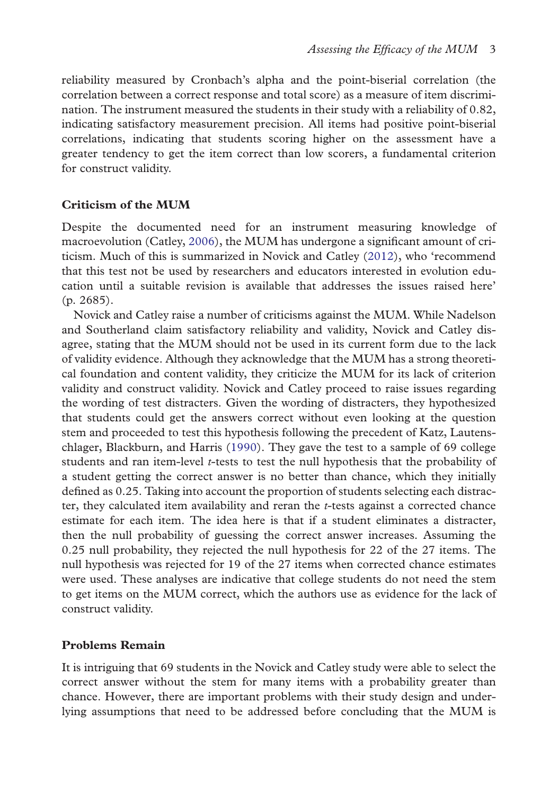reliability measured by Cronbach's alpha and the point-biserial correlation (the correlation between a correct response and total score) as a measure of item discrimination. The instrument measured the students in their study with a reliability of 0.82, indicating satisfactory measurement precision. All items had positive point-biserial correlations, indicating that students scoring higher on the assessment have a greater tendency to get the item correct than low scorers, a fundamental criterion for construct validity.

## Criticism of the MUM

Despite the documented need for an instrument measuring knowledge of macroevolution (Catley, [2006\)](#page-18-0), the MUM has undergone a significant amount of criticism. Much of this is summarized in Novick and Catley [\(2012](#page-19-0)), who 'recommend that this test not be used by researchers and educators interested in evolution education until a suitable revision is available that addresses the issues raised here' (p. 2685).

Novick and Catley raise a number of criticisms against the MUM. While Nadelson and Southerland claim satisfactory reliability and validity, Novick and Catley disagree, stating that the MUM should not be used in its current form due to the lack of validity evidence. Although they acknowledge that the MUM has a strong theoretical foundation and content validity, they criticize the MUM for its lack of criterion validity and construct validity. Novick and Catley proceed to raise issues regarding the wording of test distracters. Given the wording of distracters, they hypothesized that students could get the answers correct without even looking at the question stem and proceeded to test this hypothesis following the precedent of Katz, Lautenschlager, Blackburn, and Harris ([1990](#page-18-0)). They gave the test to a sample of 69 college students and ran item-level *t*-tests to test the null hypothesis that the probability of a student getting the correct answer is no better than chance, which they initially defined as 0.25. Taking into account the proportion of students selecting each distracter, they calculated item availability and reran the t-tests against a corrected chance estimate for each item. The idea here is that if a student eliminates a distracter, then the null probability of guessing the correct answer increases. Assuming the 0.25 null probability, they rejected the null hypothesis for 22 of the 27 items. The null hypothesis was rejected for 19 of the 27 items when corrected chance estimates were used. These analyses are indicative that college students do not need the stem to get items on the MUM correct, which the authors use as evidence for the lack of construct validity.

# Problems Remain

It is intriguing that 69 students in the Novick and Catley study were able to select the correct answer without the stem for many items with a probability greater than chance. However, there are important problems with their study design and underlying assumptions that need to be addressed before concluding that the MUM is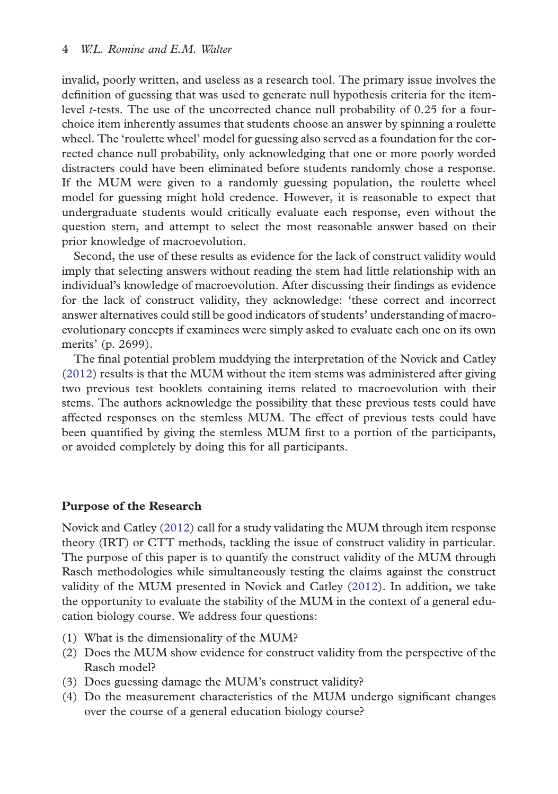invalid, poorly written, and useless as a research tool. The primary issue involves the definition of guessing that was used to generate null hypothesis criteria for the itemlevel t-tests. The use of the uncorrected chance null probability of 0.25 for a fourchoice item inherently assumes that students choose an answer by spinning a roulette wheel. The 'roulette wheel' model for guessing also served as a foundation for the corrected chance null probability, only acknowledging that one or more poorly worded distracters could have been eliminated before students randomly chose a response. If the MUM were given to a randomly guessing population, the roulette wheel model for guessing might hold credence. However, it is reasonable to expect that undergraduate students would critically evaluate each response, even without the question stem, and attempt to select the most reasonable answer based on their prior knowledge of macroevolution.

Second, the use of these results as evidence for the lack of construct validity would imply that selecting answers without reading the stem had little relationship with an individual's knowledge of macroevolution. After discussing their findings as evidence for the lack of construct validity, they acknowledge: 'these correct and incorrect answer alternatives could still be good indicators of students' understanding of macroevolutionary concepts if examinees were simply asked to evaluate each one on its own merits' (p. 2699).

The final potential problem muddying the interpretation of the Novick and Catley ([2012\)](#page-19-0) results is that the MUM without the item stems was administered after giving two previous test booklets containing items related to macroevolution with their stems. The authors acknowledge the possibility that these previous tests could have affected responses on the stemless MUM. The effect of previous tests could have been quantified by giving the stemless MUM first to a portion of the participants, or avoided completely by doing this for all participants.

#### Purpose of the Research

Novick and Catley ([2012\)](#page-19-0) call for a study validating the MUM through item response theory (IRT) or CTT methods, tackling the issue of construct validity in particular. The purpose of this paper is to quantify the construct validity of the MUM through Rasch methodologies while simultaneously testing the claims against the construct validity of the MUM presented in Novick and Catley [\(2012](#page-19-0)). In addition, we take the opportunity to evaluate the stability of the MUM in the context of a general education biology course. We address four questions:

- (1) What is the dimensionality of the MUM?
- (2) Does the MUM show evidence for construct validity from the perspective of the Rasch model?
- (3) Does guessing damage the MUM's construct validity?
- (4) Do the measurement characteristics of the MUM undergo significant changes over the course of a general education biology course?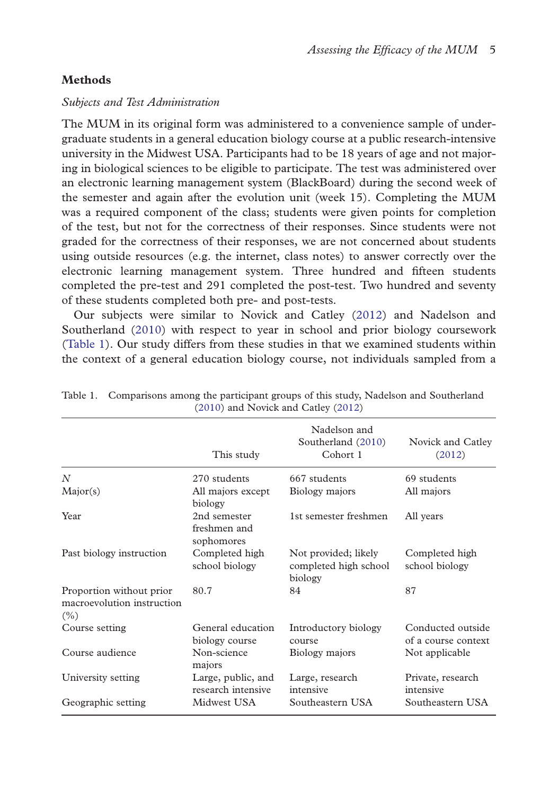# <span id="page-4-0"></span>**Methods**

# Subjects and Test Administration

The MUM in its original form was administered to a convenience sample of undergraduate students in a general education biology course at a public research-intensive university in the Midwest USA. Participants had to be 18 years of age and not majoring in biological sciences to be eligible to participate. The test was administered over an electronic learning management system (BlackBoard) during the second week of the semester and again after the evolution unit (week 15). Completing the MUM was a required component of the class; students were given points for completion of the test, but not for the correctness of their responses. Since students were not graded for the correctness of their responses, we are not concerned about students using outside resources (e.g. the internet, class notes) to answer correctly over the electronic learning management system. Three hundred and fifteen students completed the pre-test and 291 completed the post-test. Two hundred and seventy of these students completed both pre- and post-tests.

Our subjects were similar to Novick and Catley ([2012](#page-19-0)) and Nadelson and Southerland ([2010\)](#page-18-0) with respect to year in school and prior biology coursework (Table 1). Our study differs from these studies in that we examined students within the context of a general education biology course, not individuals sampled from a

|                                                                  | This study                                 | Nadelson and<br>Southerland (2010)<br>Cohort 1           | Novick and Catley<br>(2012)              |
|------------------------------------------------------------------|--------------------------------------------|----------------------------------------------------------|------------------------------------------|
| $\boldsymbol{N}$                                                 | 270 students                               | 667 students                                             | 69 students                              |
| Major(s)                                                         | All majors except<br>biology               | Biology majors                                           | All majors                               |
| Year                                                             | 2nd semester<br>freshmen and<br>sophomores | 1st semester freshmen                                    | All years                                |
| Past biology instruction                                         | Completed high<br>school biology           | Not provided; likely<br>completed high school<br>biology | Completed high<br>school biology         |
| Proportion without prior<br>macroevolution instruction<br>$(\%)$ | 80.7                                       | 84                                                       | 87                                       |
| Course setting                                                   | General education<br>biology course        | Introductory biology<br>course                           | Conducted outside<br>of a course context |
| Course audience                                                  | Non-science<br>majors                      | Biology majors                                           | Not applicable                           |
| University setting                                               | Large, public, and<br>research intensive   | Large, research<br>intensive                             | Private, research<br>intensive           |
| Geographic setting                                               | Midwest USA                                | Southeastern USA                                         | Southeastern USA                         |

Table 1. Comparisons among the participant groups of this study, Nadelson and Southerland [\(2010](#page-18-0)) and Novick and Catley [\(2012\)](#page-19-0)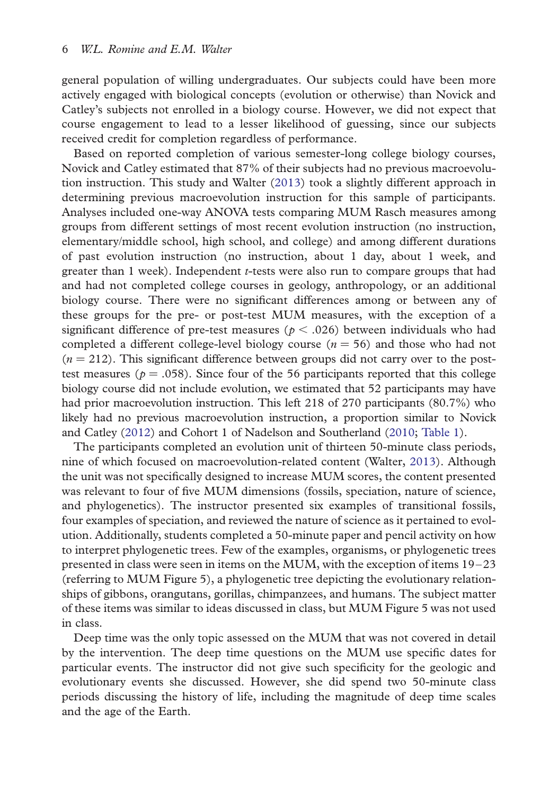general population of willing undergraduates. Our subjects could have been more actively engaged with biological concepts (evolution or otherwise) than Novick and Catley's subjects not enrolled in a biology course. However, we did not expect that course engagement to lead to a lesser likelihood of guessing, since our subjects received credit for completion regardless of performance.

Based on reported completion of various semester-long college biology courses, Novick and Catley estimated that 87% of their subjects had no previous macroevolution instruction. This study and Walter ([2013\)](#page-19-0) took a slightly different approach in determining previous macroevolution instruction for this sample of participants. Analyses included one-way ANOVA tests comparing MUM Rasch measures among groups from different settings of most recent evolution instruction (no instruction, elementary/middle school, high school, and college) and among different durations of past evolution instruction (no instruction, about 1 day, about 1 week, and greater than 1 week). Independent t-tests were also run to compare groups that had and had not completed college courses in geology, anthropology, or an additional biology course. There were no significant differences among or between any of these groups for the pre- or post-test MUM measures, with the exception of a significant difference of pre-test measures ( $p < .026$ ) between individuals who had completed a different college-level biology course  $(n = 56)$  and those who had not  $(n = 212)$ . This significant difference between groups did not carry over to the posttest measures ( $p = .058$ ). Since four of the 56 participants reported that this college biology course did not include evolution, we estimated that 52 participants may have had prior macroevolution instruction. This left 218 of 270 participants (80.7%) who likely had no previous macroevolution instruction, a proportion similar to Novick and Catley [\(2012](#page-19-0)) and Cohort 1 of Nadelson and Southerland [\(2010;](#page-18-0) [Table 1](#page-4-0)).

The participants completed an evolution unit of thirteen 50-minute class periods, nine of which focused on macroevolution-related content (Walter, [2013](#page-19-0)). Although the unit was not specifically designed to increase MUM scores, the content presented was relevant to four of five MUM dimensions (fossils, speciation, nature of science, and phylogenetics). The instructor presented six examples of transitional fossils, four examples of speciation, and reviewed the nature of science as it pertained to evolution. Additionally, students completed a 50-minute paper and pencil activity on how to interpret phylogenetic trees. Few of the examples, organisms, or phylogenetic trees presented in class were seen in items on the MUM, with the exception of items  $19-23$ (referring to MUM Figure 5), a phylogenetic tree depicting the evolutionary relationships of gibbons, orangutans, gorillas, chimpanzees, and humans. The subject matter of these items was similar to ideas discussed in class, but MUM Figure 5 was not used in class.

Deep time was the only topic assessed on the MUM that was not covered in detail by the intervention. The deep time questions on the MUM use specific dates for particular events. The instructor did not give such specificity for the geologic and evolutionary events she discussed. However, she did spend two 50-minute class periods discussing the history of life, including the magnitude of deep time scales and the age of the Earth.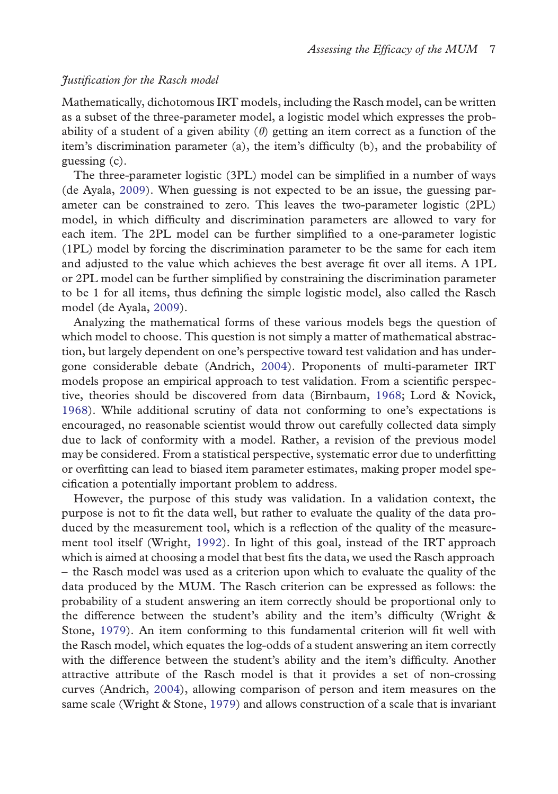## Justification for the Rasch model

Mathematically, dichotomous IRT models, including the Rasch model, can be written as a subset of the three-parameter model, a logistic model which expresses the probability of a student of a given ability  $(\theta)$  getting an item correct as a function of the item's discrimination parameter (a), the item's difficulty (b), and the probability of guessing (c).

The three-parameter logistic (3PL) model can be simplified in a number of ways (de Ayala, [2009\)](#page-17-0). When guessing is not expected to be an issue, the guessing parameter can be constrained to zero. This leaves the two-parameter logistic (2PL) model, in which difficulty and discrimination parameters are allowed to vary for each item. The 2PL model can be further simplified to a one-parameter logistic (1PL) model by forcing the discrimination parameter to be the same for each item and adjusted to the value which achieves the best average fit over all items. A 1PL or 2PL model can be further simplified by constraining the discrimination parameter to be 1 for all items, thus defining the simple logistic model, also called the Rasch model (de Ayala, [2009\)](#page-17-0).

Analyzing the mathematical forms of these various models begs the question of which model to choose. This question is not simply a matter of mathematical abstraction, but largely dependent on one's perspective toward test validation and has undergone considerable debate (Andrich, [2004](#page-17-0)). Proponents of multi-parameter IRT models propose an empirical approach to test validation. From a scientific perspective, theories should be discovered from data (Birnbaum, [1968](#page-17-0); Lord & Novick, [1968\)](#page-18-0). While additional scrutiny of data not conforming to one's expectations is encouraged, no reasonable scientist would throw out carefully collected data simply due to lack of conformity with a model. Rather, a revision of the previous model may be considered. From a statistical perspective, systematic error due to underfitting or overfitting can lead to biased item parameter estimates, making proper model specification a potentially important problem to address.

However, the purpose of this study was validation. In a validation context, the purpose is not to fit the data well, but rather to evaluate the quality of the data produced by the measurement tool, which is a reflection of the quality of the measurement tool itself (Wright, [1992](#page-19-0)). In light of this goal, instead of the IRT approach which is aimed at choosing a model that best fits the data, we used the Rasch approach – the Rasch model was used as a criterion upon which to evaluate the quality of the data produced by the MUM. The Rasch criterion can be expressed as follows: the probability of a student answering an item correctly should be proportional only to the difference between the student's ability and the item's difficulty (Wright & Stone, [1979](#page-19-0)). An item conforming to this fundamental criterion will fit well with the Rasch model, which equates the log-odds of a student answering an item correctly with the difference between the student's ability and the item's difficulty. Another attractive attribute of the Rasch model is that it provides a set of non-crossing curves (Andrich, [2004](#page-17-0)), allowing comparison of person and item measures on the same scale (Wright & Stone, [1979\)](#page-19-0) and allows construction of a scale that is invariant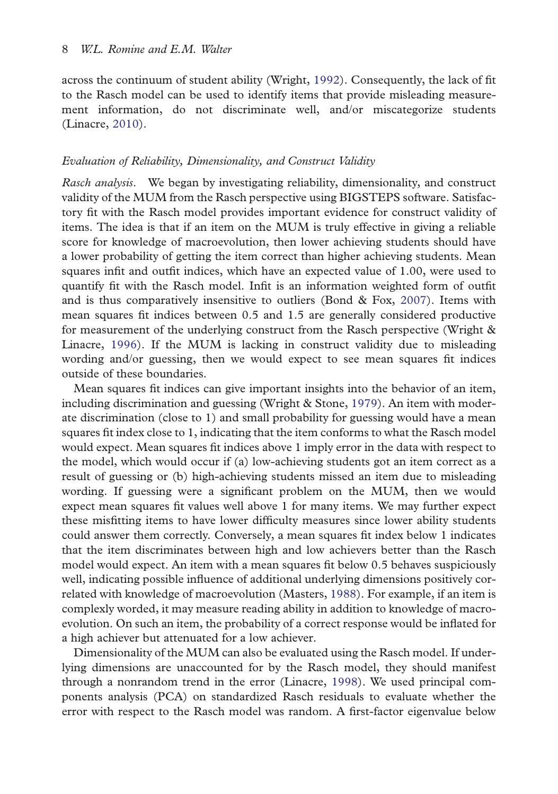across the continuum of student ability (Wright, [1992](#page-19-0)). Consequently, the lack of fit to the Rasch model can be used to identify items that provide misleading measurement information, do not discriminate well, and/or miscategorize students (Linacre, [2010\)](#page-18-0).

#### Evaluation of Reliability, Dimensionality, and Construct Validity

Rasch analysis. We began by investigating reliability, dimensionality, and construct validity of the MUM from the Rasch perspective using BIGSTEPS software. Satisfactory fit with the Rasch model provides important evidence for construct validity of items. The idea is that if an item on the MUM is truly effective in giving a reliable score for knowledge of macroevolution, then lower achieving students should have a lower probability of getting the item correct than higher achieving students. Mean squares infit and outfit indices, which have an expected value of 1.00, were used to quantify fit with the Rasch model. Infit is an information weighted form of outfit and is thus comparatively insensitive to outliers (Bond  $\&$  Fox, [2007](#page-17-0)). Items with mean squares fit indices between 0.5 and 1.5 are generally considered productive for measurement of the underlying construct from the Rasch perspective (Wright & Linacre, [1996\)](#page-19-0). If the MUM is lacking in construct validity due to misleading wording and/or guessing, then we would expect to see mean squares fit indices outside of these boundaries.

Mean squares fit indices can give important insights into the behavior of an item, including discrimination and guessing (Wright & Stone, [1979\)](#page-19-0). An item with moderate discrimination (close to 1) and small probability for guessing would have a mean squares fit index close to 1, indicating that the item conforms to what the Rasch model would expect. Mean squares fit indices above 1 imply error in the data with respect to the model, which would occur if (a) low-achieving students got an item correct as a result of guessing or (b) high-achieving students missed an item due to misleading wording. If guessing were a significant problem on the MUM, then we would expect mean squares fit values well above 1 for many items. We may further expect these misfitting items to have lower difficulty measures since lower ability students could answer them correctly. Conversely, a mean squares fit index below 1 indicates that the item discriminates between high and low achievers better than the Rasch model would expect. An item with a mean squares fit below 0.5 behaves suspiciously well, indicating possible influence of additional underlying dimensions positively correlated with knowledge of macroevolution (Masters, [1988](#page-18-0)). For example, if an item is complexly worded, it may measure reading ability in addition to knowledge of macroevolution. On such an item, the probability of a correct response would be inflated for a high achiever but attenuated for a low achiever.

Dimensionality of the MUM can also be evaluated using the Rasch model. If underlying dimensions are unaccounted for by the Rasch model, they should manifest through a nonrandom trend in the error (Linacre, [1998](#page-18-0)). We used principal components analysis (PCA) on standardized Rasch residuals to evaluate whether the error with respect to the Rasch model was random. A first-factor eigenvalue below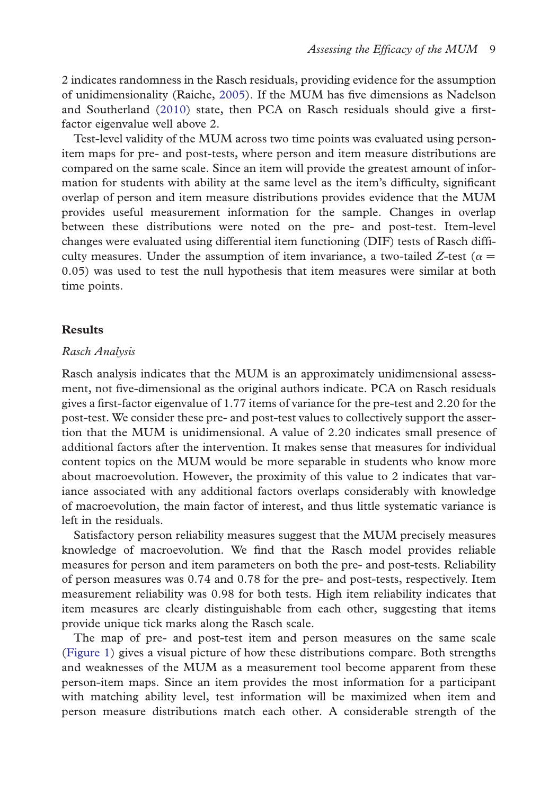2 indicates randomness in the Rasch residuals, providing evidence for the assumption of unidimensionality (Raiche, [2005\)](#page-19-0). If the MUM has five dimensions as Nadelson and Southerland [\(2010\)](#page-18-0) state, then PCA on Rasch residuals should give a firstfactor eigenvalue well above 2.

Test-level validity of the MUM across two time points was evaluated using personitem maps for pre- and post-tests, where person and item measure distributions are compared on the same scale. Since an item will provide the greatest amount of information for students with ability at the same level as the item's difficulty, significant overlap of person and item measure distributions provides evidence that the MUM provides useful measurement information for the sample. Changes in overlap between these distributions were noted on the pre- and post-test. Item-level changes were evaluated using differential item functioning (DIF) tests of Rasch difficulty measures. Under the assumption of item invariance, a two-tailed Z-test ( $\alpha$  = 0.05) was used to test the null hypothesis that item measures were similar at both time points.

## Results

#### Rasch Analysis

Rasch analysis indicates that the MUM is an approximately unidimensional assessment, not five-dimensional as the original authors indicate. PCA on Rasch residuals gives a first-factor eigenvalue of 1.77 items of variance for the pre-test and 2.20 for the post-test. We consider these pre- and post-test values to collectively support the assertion that the MUM is unidimensional. A value of 2.20 indicates small presence of additional factors after the intervention. It makes sense that measures for individual content topics on the MUM would be more separable in students who know more about macroevolution. However, the proximity of this value to 2 indicates that variance associated with any additional factors overlaps considerably with knowledge of macroevolution, the main factor of interest, and thus little systematic variance is left in the residuals.

Satisfactory person reliability measures suggest that the MUM precisely measures knowledge of macroevolution. We find that the Rasch model provides reliable measures for person and item parameters on both the pre- and post-tests. Reliability of person measures was 0.74 and 0.78 for the pre- and post-tests, respectively. Item measurement reliability was 0.98 for both tests. High item reliability indicates that item measures are clearly distinguishable from each other, suggesting that items provide unique tick marks along the Rasch scale.

The map of pre- and post-test item and person measures on the same scale ([Figure 1\)](#page-9-0) gives a visual picture of how these distributions compare. Both strengths and weaknesses of the MUM as a measurement tool become apparent from these person-item maps. Since an item provides the most information for a participant with matching ability level, test information will be maximized when item and person measure distributions match each other. A considerable strength of the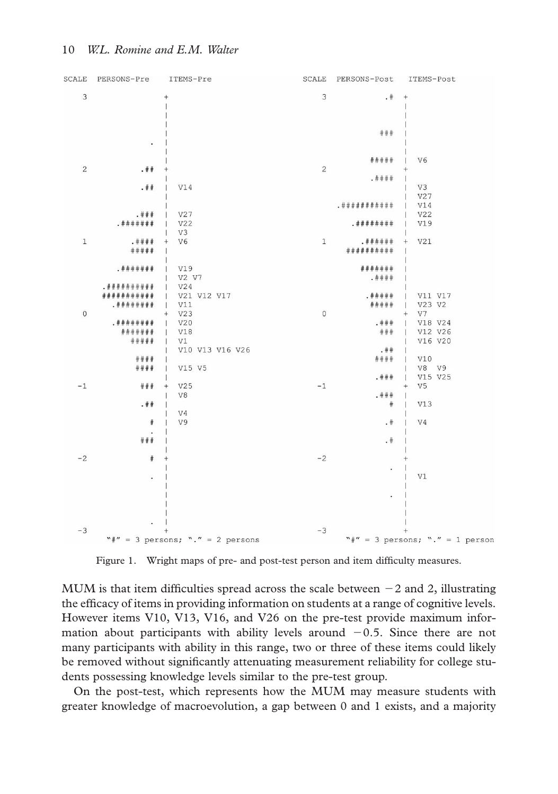<span id="page-9-0"></span>

| SCALE          | PERSONS-Pre         | ITEMS-Pre                        | <b>SCALE</b>   | PERSONS-Post          | ITEMS-Post                         |
|----------------|---------------------|----------------------------------|----------------|-----------------------|------------------------------------|
|                |                     |                                  |                |                       |                                    |
| 3              |                     | $\ddot{}$                        | 3              | $. $ #                | $^{+}$                             |
|                |                     |                                  |                |                       |                                    |
|                |                     |                                  |                |                       |                                    |
|                |                     |                                  |                |                       |                                    |
|                |                     |                                  |                | ###                   |                                    |
|                |                     |                                  |                |                       |                                    |
|                | $\bullet$           |                                  |                |                       |                                    |
|                |                     |                                  |                |                       | V <sub>6</sub>                     |
| $\overline{c}$ |                     |                                  | $\overline{2}$ | #####                 |                                    |
|                | . ##                |                                  |                |                       | $^{+}$                             |
|                |                     |                                  |                | . # # # #             |                                    |
|                | . ##                | V14                              |                |                       | V3                                 |
|                |                     |                                  |                |                       | V27                                |
|                |                     |                                  |                | . # # # # # # # # # # | V14                                |
|                | . # ##              | V27                              |                |                       | V22                                |
|                | . # # # # # #       | V22                              |                | . # # # # # # #       | V19                                |
|                |                     | V3                               |                |                       |                                    |
| $\mathbf{1}$   | . # # # #           | V <sub>6</sub><br>$^{+}$         | $\mathbf{1}$   | . # # # # #           | V21<br>$^{+}$                      |
|                | #####               |                                  |                | #########             |                                    |
|                |                     |                                  |                |                       |                                    |
|                | . # # # # # #       | V19                              |                | #######               |                                    |
|                |                     | V2 V7                            |                | . # # # #             |                                    |
|                |                     |                                  |                |                       |                                    |
|                | . # # # # # # # # # | V <sub>24</sub>                  |                |                       |                                    |
|                | # # # # # # # # # # | V21 V12 V17                      |                | . #####               | V11 V17                            |
|                | . # # # # # # #     | V11                              |                | #####                 | V23 V2                             |
| $\overline{0}$ |                     | V23<br>$+$                       | $\circ$        |                       | V7<br>$^{+}$                       |
|                | . # # # # # # #     | V20                              |                | . # ##                | V18 V24                            |
|                | #######             | V18                              |                | ###                   | V12 V26                            |
|                | #####               | V1                               |                |                       | V16 V20                            |
|                |                     | V10 V13 V16 V26                  |                | . ##                  |                                    |
|                | ####                |                                  |                | ####                  | V10                                |
|                | ####                | V15 V5                           |                |                       | V8 V9                              |
|                |                     |                                  |                | . # ##                | V15 V25                            |
| $-1$           | ###                 | V25<br>$+$                       | $-1$           |                       | V <sub>5</sub><br>$^{+}$           |
|                |                     | V8                               |                | . # ##                |                                    |
|                | .  ##               |                                  |                | #                     | V13                                |
|                |                     | V4                               |                |                       |                                    |
|                | #                   | V9                               |                | .#                    | V <sub>4</sub>                     |
|                |                     |                                  |                |                       |                                    |
|                |                     |                                  |                |                       |                                    |
|                | ###                 |                                  |                | $.$ #                 |                                    |
|                |                     |                                  |                |                       |                                    |
| $-2$           | #                   |                                  | $-2$           |                       | $^{+}$                             |
|                |                     |                                  |                | ×,                    |                                    |
|                |                     |                                  |                |                       | V1                                 |
|                |                     |                                  |                |                       |                                    |
|                |                     |                                  |                | ÷                     |                                    |
|                |                     |                                  |                |                       |                                    |
|                |                     |                                  |                |                       |                                    |
|                |                     |                                  |                |                       |                                    |
| $-3$           |                     |                                  | $-3$           |                       |                                    |
|                |                     | "#" = 3 persons; "." = 2 persons |                |                       | $"$ #" = 3 persons; "." = 1 person |
|                |                     |                                  |                |                       |                                    |

Figure 1. Wright maps of pre- and post-test person and item difficulty measures.

MUM is that item difficulties spread across the scale between  $-2$  and 2, illustrating the efficacy of items in providing information on students at a range of cognitive levels. However items V10, V13, V16, and V26 on the pre-test provide maximum information about participants with ability levels around  $-0.5$ . Since there are not many participants with ability in this range, two or three of these items could likely be removed without significantly attenuating measurement reliability for college students possessing knowledge levels similar to the pre-test group.

On the post-test, which represents how the MUM may measure students with greater knowledge of macroevolution, a gap between 0 and 1 exists, and a majority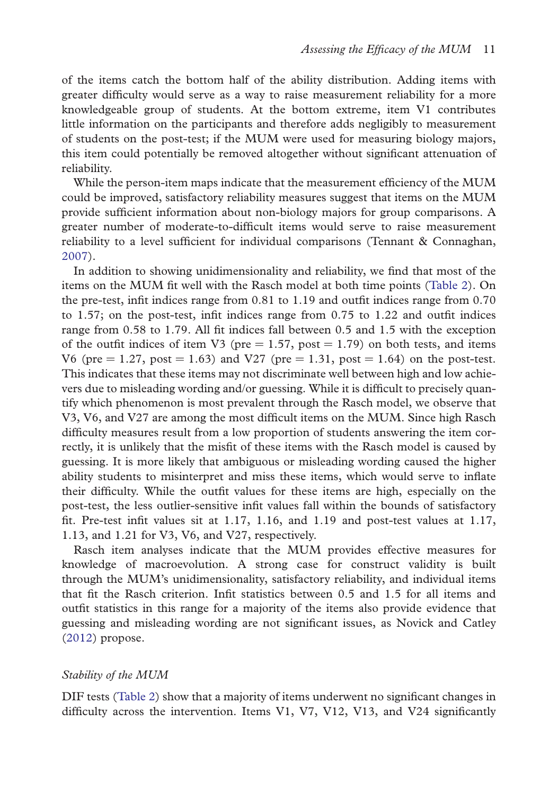of the items catch the bottom half of the ability distribution. Adding items with greater difficulty would serve as a way to raise measurement reliability for a more knowledgeable group of students. At the bottom extreme, item V1 contributes little information on the participants and therefore adds negligibly to measurement of students on the post-test; if the MUM were used for measuring biology majors, this item could potentially be removed altogether without significant attenuation of reliability.

While the person-item maps indicate that the measurement efficiency of the MUM could be improved, satisfactory reliability measures suggest that items on the MUM provide sufficient information about non-biology majors for group comparisons. A greater number of moderate-to-difficult items would serve to raise measurement reliability to a level sufficient for individual comparisons (Tennant & Connaghan, [2007\)](#page-19-0).

In addition to showing unidimensionality and reliability, we find that most of the items on the MUM fit well with the Rasch model at both time points [\(Table 2\)](#page-11-0). On the pre-test, infit indices range from 0.81 to 1.19 and outfit indices range from 0.70 to 1.57; on the post-test, infit indices range from 0.75 to 1.22 and outfit indices range from 0.58 to 1.79. All fit indices fall between 0.5 and 1.5 with the exception of the outfit indices of item V3 (pre  $= 1.57$ , post  $= 1.79$ ) on both tests, and items V6 (pre  $= 1.27$ , post  $= 1.63$ ) and V27 (pre  $= 1.31$ , post  $= 1.64$ ) on the post-test. This indicates that these items may not discriminate well between high and low achievers due to misleading wording and/or guessing. While it is difficult to precisely quantify which phenomenon is most prevalent through the Rasch model, we observe that V3, V6, and V27 are among the most difficult items on the MUM. Since high Rasch difficulty measures result from a low proportion of students answering the item correctly, it is unlikely that the misfit of these items with the Rasch model is caused by guessing. It is more likely that ambiguous or misleading wording caused the higher ability students to misinterpret and miss these items, which would serve to inflate their difficulty. While the outfit values for these items are high, especially on the post-test, the less outlier-sensitive infit values fall within the bounds of satisfactory fit. Pre-test infit values sit at 1.17, 1.16, and 1.19 and post-test values at 1.17, 1.13, and 1.21 for V3, V6, and V27, respectively.

Rasch item analyses indicate that the MUM provides effective measures for knowledge of macroevolution. A strong case for construct validity is built through the MUM's unidimensionality, satisfactory reliability, and individual items that fit the Rasch criterion. Infit statistics between 0.5 and 1.5 for all items and outfit statistics in this range for a majority of the items also provide evidence that guessing and misleading wording are not significant issues, as Novick and Catley ([2012\)](#page-19-0) propose.

## Stability of the MUM

DIF tests ([Table 2](#page-11-0)) show that a majority of items underwent no significant changes in difficulty across the intervention. Items V1, V7, V12, V13, and V24 significantly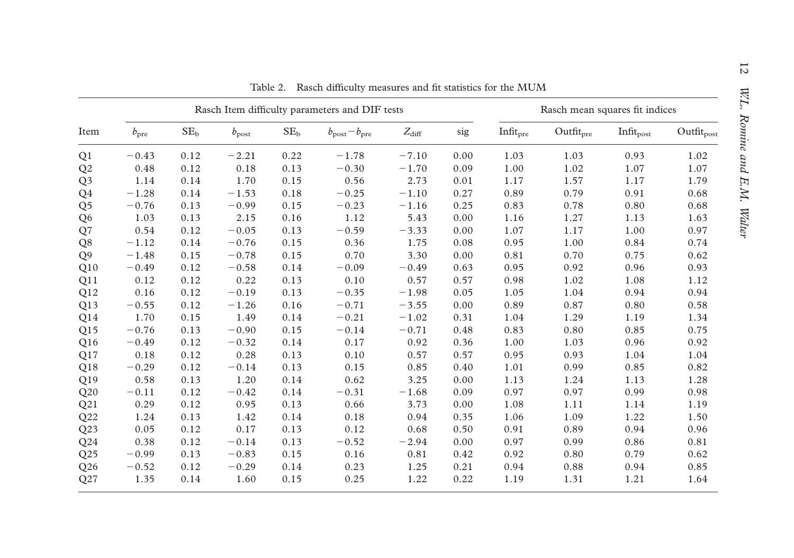<span id="page-11-0"></span>

|                |                  | Rasch Item difficulty parameters and DIF tests |                   |        |                                    |                | Rasch mean squares fit indices |                                                   |                                  |                                                  |            |
|----------------|------------------|------------------------------------------------|-------------------|--------|------------------------------------|----------------|--------------------------------|---------------------------------------------------|----------------------------------|--------------------------------------------------|------------|
| Item           | $b_{\text{pre}}$ | $SE_b$                                         | $b_{\text{post}}$ | $SE_b$ | $b_{\text{post}} - b_{\text{pre}}$ | $Z_{\rm diff}$ | sig                            | $\mathop{\mathrm{Infit}}\nolimits_{\mathrm{pre}}$ | $\mathrm{Outfit}_{\mathrm{pre}}$ | $\mathop{\mathit{Infit}}\nolimits_{\text{post}}$ | Outfitpost |
| Q <sub>1</sub> | $-0.43$          | 0.12                                           | $-2.21$           | 0.22   | $-1.78$                            | $-7.10$        | 0.00                           | 1.03                                              | 1.03                             | 0.93                                             | 1.02       |
| Q2             | 0.48             | 0.12                                           | 0.18              | 0.13   | $-0.30$                            | $-1.70$        | 0.09                           | 1.00                                              | 1.02                             | 1.07                                             | 1.07       |
| Q <sub>3</sub> | 1.14             | 0.14                                           | 1.70              | 0.15   | 0.56                               | 2.73           | 0.01                           | 1.17                                              | 1.57                             | 1.17                                             | 1.79       |
| Q4             | $-1.28$          | 0.14                                           | $-1.53$           | 0.18   | $-0.25$                            | $-1.10$        | 0.27                           | 0.89                                              | 0.79                             | 0.91                                             | 0.68       |
| Q <sub>5</sub> | $-0.76$          | 0.13                                           | $-0.99$           | 0.15   | $-0.23$                            | $-1.16$        | 0.25                           | 0.83                                              | 0.78                             | 0.80                                             | 0.68       |
| Q <sub>6</sub> | 1.03             | 0.13                                           | 2.15              | 0.16   | 1.12                               | 5.43           | 0.00                           | 1.16                                              | 1.27                             | 1.13                                             | 1.63       |
| Q7             | 0.54             | 0.12                                           | $-0.05$           | 0.13   | $-0.59$                            | $-3.33$        | 0.00                           | 1.07                                              | 1.17                             | 1.00                                             | 0.97       |
| Q8             | $-1.12$          | 0.14                                           | $-0.76$           | 0.15   | 0.36                               | 1.75           | 0.08                           | 0.95                                              | 1.00                             | 0.84                                             | 0.74       |
| Q <sub>9</sub> | $-1.48$          | 0.15                                           | $-0.78$           | 0.15   | 0.70                               | 3.30           | 0.00                           | 0.81                                              | 0.70                             | 0.75                                             | 0.62       |
| Q10            | $-0.49$          | 0.12                                           | $-0.58$           | 0.14   | $-0.09$                            | $-0.49$        | 0.63                           | 0.95                                              | 0.92                             | 0.96                                             | 0.93       |
| Q11            | 0.12             | 0.12                                           | 0.22              | 0.13   | 0.10                               | 0.57           | 0.57                           | 0.98                                              | 1.02                             | 1.08                                             | 1.12       |
| Q12            | 0.16             | 0.12                                           | $-0.19$           | 0.13   | $-0.35$                            | $-1.98$        | 0.05                           | 1.05                                              | 1.04                             | 0.94                                             | 0.94       |
| Q13            | $-0.55$          | 0.12                                           | $-1.26$           | 0.16   | $-0.71$                            | $-3.55$        | 0.00                           | 0.89                                              | 0.87                             | 0.80                                             | 0.58       |
| Q14            | 1.70             | 0.15                                           | 1.49              | 0.14   | $-0.21$                            | $-1.02$        | 0.31                           | 1.04                                              | 1.29                             | 1.19                                             | 1.34       |
| Q15            | $-0.76$          | 0.13                                           | $-0.90$           | 0.15   | $-0.14$                            | $-0.71$        | 0.48                           | 0.83                                              | 0.80                             | 0.85                                             | 0.75       |
| Q16            | $-0.49$          | 0.12                                           | $-0.32$           | 0.14   | 0.17                               | 0.92           | 0.36                           | 1.00                                              | 1.03                             | 0.96                                             | 0.92       |
| Q17            | 0.18             | 0.12                                           | 0.28              | 0.13   | 0.10                               | 0.57           | 0.57                           | 0.95                                              | 0.93                             | 1.04                                             | 1.04       |
| Q18            | $-0.29$          | 0.12                                           | $-0.14$           | 0.13   | 0.15                               | 0.85           | 0.40                           | 1.01                                              | 0.99                             | 0.85                                             | 0.82       |
| Q19            | 0.58             | 0.13                                           | 1.20              | 0.14   | 0.62                               | 3.25           | 0.00                           | 1.13                                              | 1.24                             | 1.13                                             | 1.28       |
| Q20            | $-0.11$          | 0.12                                           | $-0.42$           | 0.14   | $-0.31$                            | $-1.68$        | 0.09                           | 0.97                                              | 0.97                             | 0.99                                             | 0.98       |
| Q21            | 0.29             | 0.12                                           | 0.95              | 0.13   | 0.66                               | 3.73           | 0.00                           | 1.08                                              | 1.11                             | 1.14                                             | 1.19       |
| Q22            | 1.24             | 0.13                                           | 1.42              | 0.14   | 0.18                               | 0.94           | 0.35                           | 1.06                                              | 1.09                             | 1.22                                             | 1.50       |
| Q23            | 0.05             | 0.12                                           | 0.17              | 0.13   | 0.12                               | 0.68           | 0.50                           | 0.91                                              | 0.89                             | 0.94                                             | 0.96       |
| Q24            | 0.38             | 0.12                                           | $-0.14$           | 0.13   | $-0.52$                            | $-2.94$        | 0.00                           | 0.97                                              | 0.99                             | 0.86                                             | 0.81       |
| Q25            | $-0.99$          | 0.13                                           | $-0.83$           | 0.15   | 0.16                               | 0.81           | 0.42                           | 0.92                                              | 0.80                             | 0.79                                             | 0.62       |
| Q26            | $-0.52$          | 0.12                                           | $-0.29$           | 0.14   | 0.23                               | 1.25           | 0.21                           | 0.94                                              | 0.88                             | 0.94                                             | 0.85       |
| Q27            | 1.35             | 0.14                                           | 1.60              | 0.15   | 0.25                               | 1.22           | 0.22                           | 1.19                                              | 1.31                             | 1.21                                             | 1.64       |

Table 2. Rasch difficulty measures and fit statistics for the MUM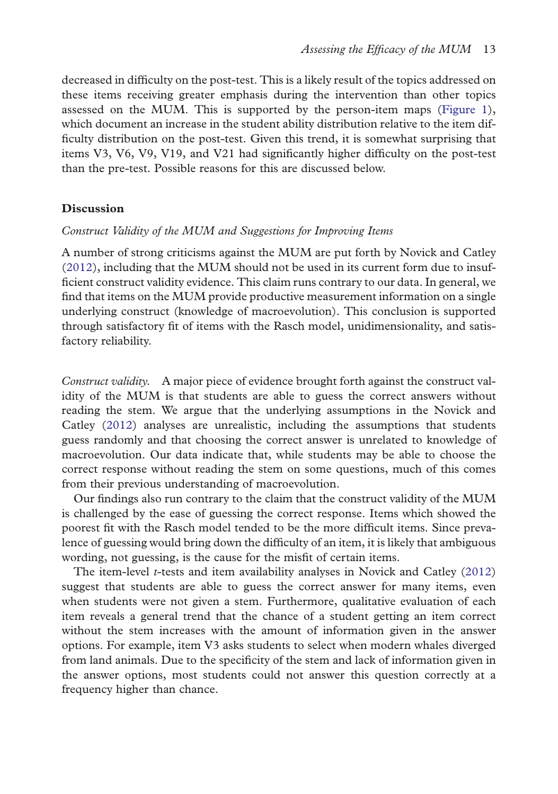decreased in difficulty on the post-test. This is a likely result of the topics addressed on these items receiving greater emphasis during the intervention than other topics assessed on the MUM. This is supported by the person-item maps ([Figure 1](#page-9-0)), which document an increase in the student ability distribution relative to the item difficulty distribution on the post-test. Given this trend, it is somewhat surprising that items V3, V6, V9, V19, and V21 had significantly higher difficulty on the post-test than the pre-test. Possible reasons for this are discussed below.

# Discussion

# Construct Validity of the MUM and Suggestions for Improving Items

A number of strong criticisms against the MUM are put forth by Novick and Catley ([2012\)](#page-19-0), including that the MUM should not be used in its current form due to insufficient construct validity evidence. This claim runs contrary to our data. In general, we find that items on the MUM provide productive measurement information on a single underlying construct (knowledge of macroevolution). This conclusion is supported through satisfactory fit of items with the Rasch model, unidimensionality, and satisfactory reliability.

Construct validity. A major piece of evidence brought forth against the construct validity of the MUM is that students are able to guess the correct answers without reading the stem. We argue that the underlying assumptions in the Novick and Catley [\(2012](#page-19-0)) analyses are unrealistic, including the assumptions that students guess randomly and that choosing the correct answer is unrelated to knowledge of macroevolution. Our data indicate that, while students may be able to choose the correct response without reading the stem on some questions, much of this comes from their previous understanding of macroevolution.

Our findings also run contrary to the claim that the construct validity of the MUM is challenged by the ease of guessing the correct response. Items which showed the poorest fit with the Rasch model tended to be the more difficult items. Since prevalence of guessing would bring down the difficulty of an item, it is likely that ambiguous wording, not guessing, is the cause for the misfit of certain items.

The item-level  $t$ -tests and item availability analyses in Novick and Catley [\(2012\)](#page-19-0) suggest that students are able to guess the correct answer for many items, even when students were not given a stem. Furthermore, qualitative evaluation of each item reveals a general trend that the chance of a student getting an item correct without the stem increases with the amount of information given in the answer options. For example, item V3 asks students to select when modern whales diverged from land animals. Due to the specificity of the stem and lack of information given in the answer options, most students could not answer this question correctly at a frequency higher than chance.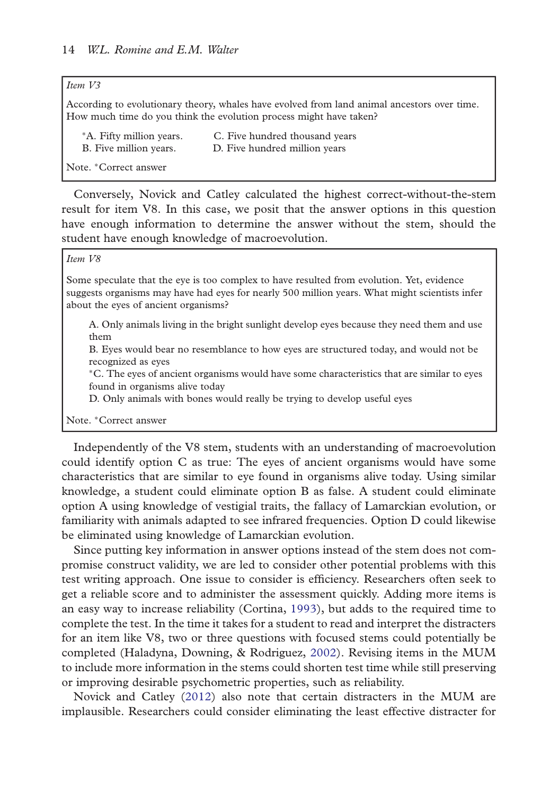#### Item V3

According to evolutionary theory, whales have evolved from land animal ancestors over time. How much time do you think the evolution process might have taken?

| *A. Fifty million years. | C. Five hundred thousand years |
|--------------------------|--------------------------------|
| B. Five million years.   | D. Five hundred million years  |
| $\sim$                   |                                |

Note. <sup>∗</sup>Correct answer

Conversely, Novick and Catley calculated the highest correct-without-the-stem result for item V8. In this case, we posit that the answer options in this question have enough information to determine the answer without the stem, should the student have enough knowledge of macroevolution.

#### Item V8

Some speculate that the eye is too complex to have resulted from evolution. Yet, evidence suggests organisms may have had eyes for nearly 500 million years. What might scientists infer about the eyes of ancient organisms?

A. Only animals living in the bright sunlight develop eyes because they need them and use them

B. Eyes would bear no resemblance to how eyes are structured today, and would not be recognized as eyes

∗C. The eyes of ancient organisms would have some characteristics that are similar to eyes found in organisms alive today

D. Only animals with bones would really be trying to develop useful eyes

Note. <sup>∗</sup>Correct answer

Independently of the V8 stem, students with an understanding of macroevolution could identify option C as true: The eyes of ancient organisms would have some characteristics that are similar to eye found in organisms alive today. Using similar knowledge, a student could eliminate option B as false. A student could eliminate option A using knowledge of vestigial traits, the fallacy of Lamarckian evolution, or familiarity with animals adapted to see infrared frequencies. Option D could likewise be eliminated using knowledge of Lamarckian evolution.

Since putting key information in answer options instead of the stem does not compromise construct validity, we are led to consider other potential problems with this test writing approach. One issue to consider is efficiency. Researchers often seek to get a reliable score and to administer the assessment quickly. Adding more items is an easy way to increase reliability (Cortina, [1993\)](#page-18-0), but adds to the required time to complete the test. In the time it takes for a student to read and interpret the distracters for an item like V8, two or three questions with focused stems could potentially be completed (Haladyna, Downing, & Rodriguez, [2002](#page-18-0)). Revising items in the MUM to include more information in the stems could shorten test time while still preserving or improving desirable psychometric properties, such as reliability.

Novick and Catley ([2012\)](#page-19-0) also note that certain distracters in the MUM are implausible. Researchers could consider eliminating the least effective distracter for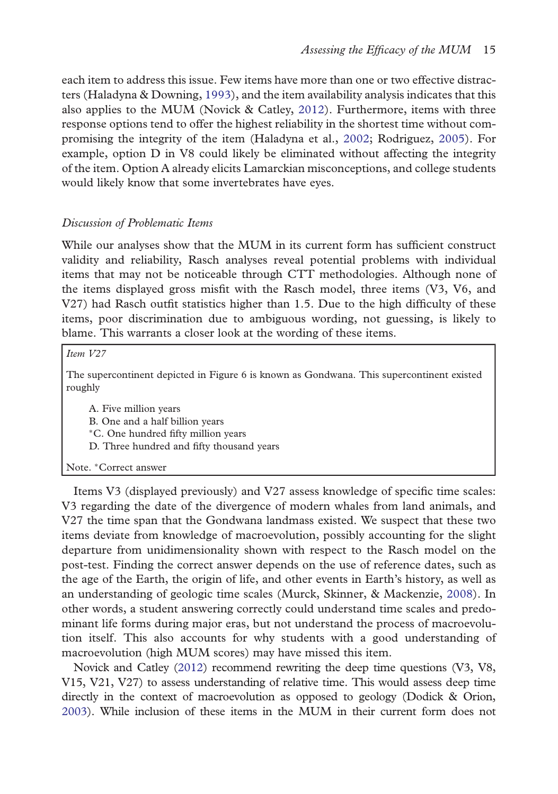each item to address this issue. Few items have more than one or two effective distracters (Haladyna & Downing, [1993](#page-18-0)), and the item availability analysis indicates that this also applies to the MUM (Novick & Catley, [2012\)](#page-19-0). Furthermore, items with three response options tend to offer the highest reliability in the shortest time without compromising the integrity of the item (Haladyna et al., [2002;](#page-18-0) Rodriguez, [2005](#page-19-0)). For example, option D in V8 could likely be eliminated without affecting the integrity of the item. Option A already elicits Lamarckian misconceptions, and college students would likely know that some invertebrates have eyes.

# Discussion of Problematic Items

While our analyses show that the MUM in its current form has sufficient construct validity and reliability, Rasch analyses reveal potential problems with individual items that may not be noticeable through CTT methodologies. Although none of the items displayed gross misfit with the Rasch model, three items (V3, V6, and V27) had Rasch outfit statistics higher than 1.5. Due to the high difficulty of these items, poor discrimination due to ambiguous wording, not guessing, is likely to blame. This warrants a closer look at the wording of these items.

Item V27

The supercontinent depicted in Figure 6 is known as Gondwana. This supercontinent existed roughly

A. Five million years B. One and a half billion years ∗C. One hundred fifty million years D. Three hundred and fifty thousand years

Note. <sup>∗</sup>Correct answer

Items V3 (displayed previously) and V27 assess knowledge of specific time scales: V3 regarding the date of the divergence of modern whales from land animals, and V27 the time span that the Gondwana landmass existed. We suspect that these two items deviate from knowledge of macroevolution, possibly accounting for the slight departure from unidimensionality shown with respect to the Rasch model on the post-test. Finding the correct answer depends on the use of reference dates, such as the age of the Earth, the origin of life, and other events in Earth's history, as well as an understanding of geologic time scales (Murck, Skinner, & Mackenzie, [2008](#page-18-0)). In other words, a student answering correctly could understand time scales and predominant life forms during major eras, but not understand the process of macroevolution itself. This also accounts for why students with a good understanding of macroevolution (high MUM scores) may have missed this item.

Novick and Catley [\(2012\)](#page-19-0) recommend rewriting the deep time questions (V3, V8, V15, V21, V27) to assess understanding of relative time. This would assess deep time directly in the context of macroevolution as opposed to geology (Dodick & Orion, [2003\)](#page-18-0). While inclusion of these items in the MUM in their current form does not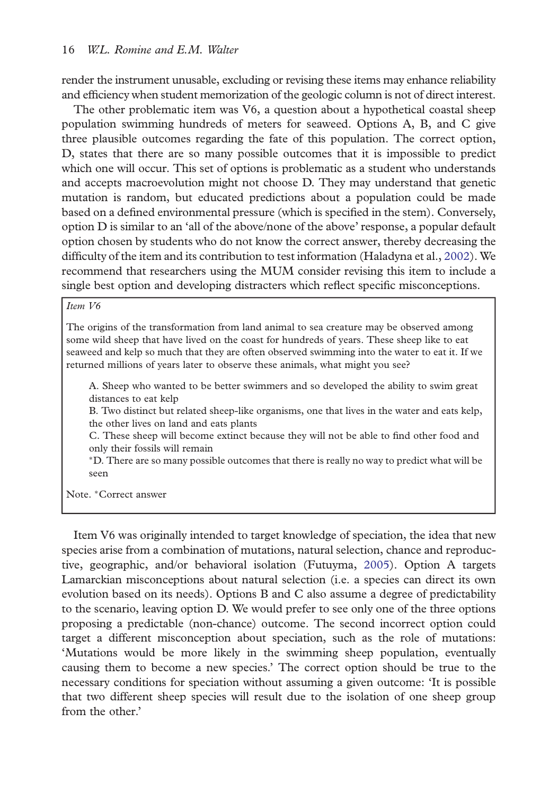render the instrument unusable, excluding or revising these items may enhance reliability and efficiency when student memorization of the geologic column is not of direct interest.

The other problematic item was V6, a question about a hypothetical coastal sheep population swimming hundreds of meters for seaweed. Options A, B, and C give three plausible outcomes regarding the fate of this population. The correct option, D, states that there are so many possible outcomes that it is impossible to predict which one will occur. This set of options is problematic as a student who understands and accepts macroevolution might not choose D. They may understand that genetic mutation is random, but educated predictions about a population could be made based on a defined environmental pressure (which is specified in the stem). Conversely, option D is similar to an 'all of the above/none of the above' response, a popular default option chosen by students who do not know the correct answer, thereby decreasing the difficulty of the item and its contribution to test information (Haladyna et al., [2002](#page-18-0)). We recommend that researchers using the MUM consider revising this item to include a single best option and developing distracters which reflect specific misconceptions.

## Item V6

The origins of the transformation from land animal to sea creature may be observed among some wild sheep that have lived on the coast for hundreds of years. These sheep like to eat seaweed and kelp so much that they are often observed swimming into the water to eat it. If we returned millions of years later to observe these animals, what might you see?

A. Sheep who wanted to be better swimmers and so developed the ability to swim great distances to eat kelp

B. Two distinct but related sheep-like organisms, one that lives in the water and eats kelp, the other lives on land and eats plants

C. These sheep will become extinct because they will not be able to find other food and only their fossils will remain

∗D. There are so many possible outcomes that there is really no way to predict what will be seen

Note. <sup>∗</sup>Correct answer

Item V6 was originally intended to target knowledge of speciation, the idea that new species arise from a combination of mutations, natural selection, chance and reproductive, geographic, and/or behavioral isolation (Futuyma, [2005](#page-18-0)). Option A targets Lamarckian misconceptions about natural selection (i.e. a species can direct its own evolution based on its needs). Options B and C also assume a degree of predictability to the scenario, leaving option D. We would prefer to see only one of the three options proposing a predictable (non-chance) outcome. The second incorrect option could target a different misconception about speciation, such as the role of mutations: 'Mutations would be more likely in the swimming sheep population, eventually causing them to become a new species.' The correct option should be true to the necessary conditions for speciation without assuming a given outcome: 'It is possible that two different sheep species will result due to the isolation of one sheep group from the other.'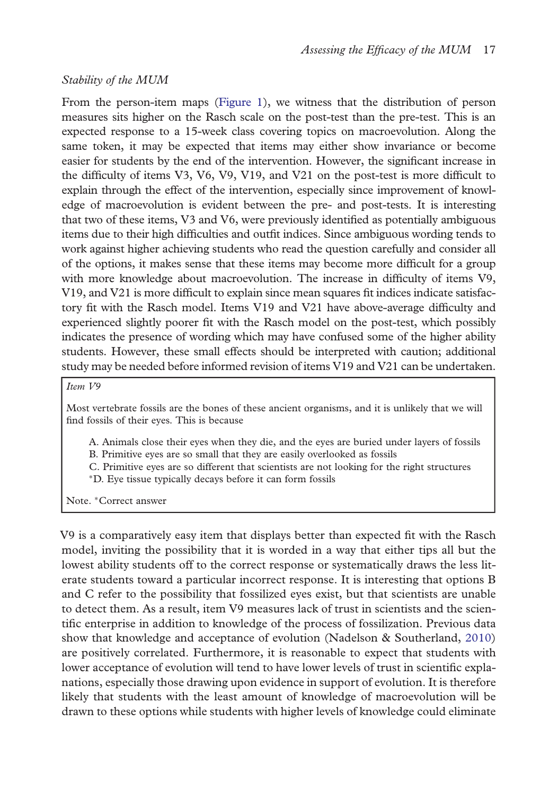# Stability of the MUM

From the person-item maps [\(Figure 1\)](#page-9-0), we witness that the distribution of person measures sits higher on the Rasch scale on the post-test than the pre-test. This is an expected response to a 15-week class covering topics on macroevolution. Along the same token, it may be expected that items may either show invariance or become easier for students by the end of the intervention. However, the significant increase in the difficulty of items V3, V6, V9, V19, and V21 on the post-test is more difficult to explain through the effect of the intervention, especially since improvement of knowledge of macroevolution is evident between the pre- and post-tests. It is interesting that two of these items, V3 and V6, were previously identified as potentially ambiguous items due to their high difficulties and outfit indices. Since ambiguous wording tends to work against higher achieving students who read the question carefully and consider all of the options, it makes sense that these items may become more difficult for a group with more knowledge about macroevolution. The increase in difficulty of items V9, V19, and V21 is more difficult to explain since mean squares fit indices indicate satisfactory fit with the Rasch model. Items V19 and V21 have above-average difficulty and experienced slightly poorer fit with the Rasch model on the post-test, which possibly indicates the presence of wording which may have confused some of the higher ability students. However, these small effects should be interpreted with caution; additional study may be needed before informed revision of items V19 and V21 can be undertaken.

## Item V9

Most vertebrate fossils are the bones of these ancient organisms, and it is unlikely that we will find fossils of their eyes. This is because

- A. Animals close their eyes when they die, and the eyes are buried under layers of fossils
- B. Primitive eyes are so small that they are easily overlooked as fossils
- C. Primitive eyes are so different that scientists are not looking for the right structures
- ∗D. Eye tissue typically decays before it can form fossils

Note. <sup>∗</sup>Correct answer

V9 is a comparatively easy item that displays better than expected fit with the Rasch model, inviting the possibility that it is worded in a way that either tips all but the lowest ability students off to the correct response or systematically draws the less literate students toward a particular incorrect response. It is interesting that options B and C refer to the possibility that fossilized eyes exist, but that scientists are unable to detect them. As a result, item V9 measures lack of trust in scientists and the scientific enterprise in addition to knowledge of the process of fossilization. Previous data show that knowledge and acceptance of evolution (Nadelson & Southerland, [2010\)](#page-18-0) are positively correlated. Furthermore, it is reasonable to expect that students with lower acceptance of evolution will tend to have lower levels of trust in scientific explanations, especially those drawing upon evidence in support of evolution. It is therefore likely that students with the least amount of knowledge of macroevolution will be drawn to these options while students with higher levels of knowledge could eliminate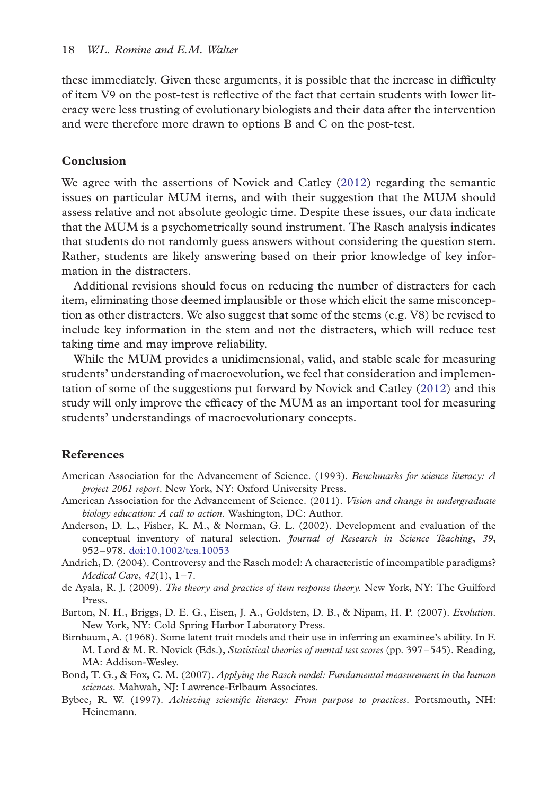<span id="page-17-0"></span>these immediately. Given these arguments, it is possible that the increase in difficulty of item V9 on the post-test is reflective of the fact that certain students with lower literacy were less trusting of evolutionary biologists and their data after the intervention and were therefore more drawn to options B and C on the post-test.

## Conclusion

We agree with the assertions of Novick and Catley [\(2012](#page-19-0)) regarding the semantic issues on particular MUM items, and with their suggestion that the MUM should assess relative and not absolute geologic time. Despite these issues, our data indicate that the MUM is a psychometrically sound instrument. The Rasch analysis indicates that students do not randomly guess answers without considering the question stem. Rather, students are likely answering based on their prior knowledge of key information in the distracters.

Additional revisions should focus on reducing the number of distracters for each item, eliminating those deemed implausible or those which elicit the same misconception as other distracters. We also suggest that some of the stems (e.g. V8) be revised to include key information in the stem and not the distracters, which will reduce test taking time and may improve reliability.

While the MUM provides a unidimensional, valid, and stable scale for measuring students' understanding of macroevolution, we feel that consideration and implementation of some of the suggestions put forward by Novick and Catley ([2012\)](#page-19-0) and this study will only improve the efficacy of the MUM as an important tool for measuring students' understandings of macroevolutionary concepts.

## **References**

- American Association for the Advancement of Science. (1993). Benchmarks for science literacy: A project 2061 report. New York, NY: Oxford University Press.
- American Association for the Advancement of Science. (2011). Vision and change in undergraduate biology education: A call to action. Washington, DC: Author.
- Anderson, D. L., Fisher, K. M., & Norman, G. L. (2002). Development and evaluation of the conceptual inventory of natural selection. Journal of Research in Science Teaching, 39, 952–978. [doi:10.1002/tea.10053](http://dx.doi.org/10.1002/tea.10053)
- Andrich, D. (2004). Controversy and the Rasch model: A characteristic of incompatible paradigms?  $Medical Care, 42(1), 1-7.$
- de Ayala, R. J. (2009). The theory and practice of item response theory. New York, NY: The Guilford Press.
- Barton, N. H., Briggs, D. E. G., Eisen, J. A., Goldsten, D. B., & Nipam, H. P. (2007). Evolution. New York, NY: Cold Spring Harbor Laboratory Press.
- Birnbaum, A. (1968). Some latent trait models and their use in inferring an examinee's ability. In F. M. Lord & M. R. Novick (Eds.), Statistical theories of mental test scores (pp. 397–545). Reading, MA: Addison-Wesley.
- Bond, T. G., & Fox, C. M. (2007). Applying the Rasch model: Fundamental measurement in the human sciences. Mahwah, NJ: Lawrence-Erlbaum Associates.
- Bybee, R. W. (1997). Achieving scientific literacy: From purpose to practices. Portsmouth, NH: Heinemann.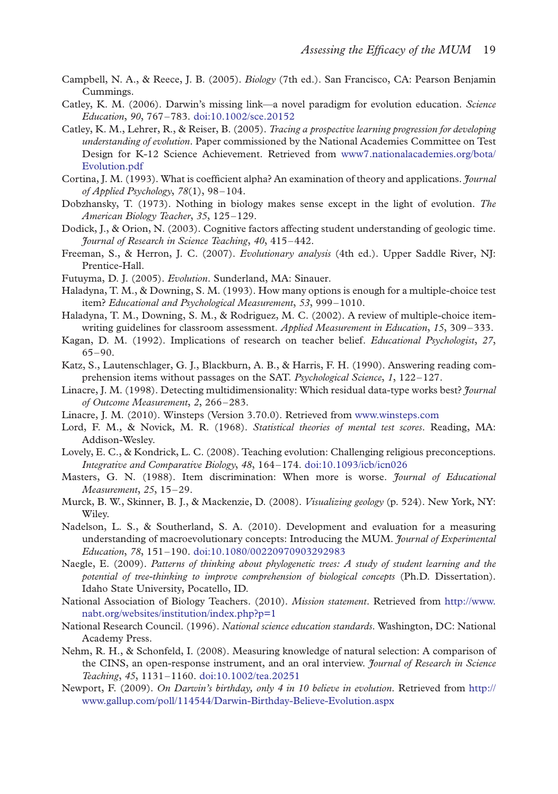- <span id="page-18-0"></span>Campbell, N. A., & Reece, J. B. (2005). Biology (7th ed.). San Francisco, CA: Pearson Benjamin Cummings.
- Catley, K. M. (2006). Darwin's missing link—a novel paradigm for evolution education. Science Education, 90, 767–783. [doi:10.1002/sce.20152](http://dx.doi.org/10.1002/sce.20152)
- Catley, K. M., Lehrer, R., & Reiser, B. (2005). Tracing a prospective learning progression for developing understanding of evolution. Paper commissioned by the National Academies Committee on Test Design for K-12 Science Achievement. Retrieved from [www7.nationalacademies.org/bota/](http://www.www7.nationalacademies.org/bota/Evolution.pdf) [Evolution.pdf](http://www.www7.nationalacademies.org/bota/Evolution.pdf)
- Cortina, J. M. (1993). What is coefficient alpha? An examination of theory and applications. *Journal* of Applied Psychology, 78(1), 98–104.
- Dobzhansky, T. (1973). Nothing in biology makes sense except in the light of evolution. The American Biology Teacher, 35, 125-129.
- Dodick, J., & Orion, N. (2003). Cognitive factors affecting student understanding of geologic time. Journal of Research in Science Teaching, 40, 415 –442.
- Freeman, S., & Herron, J. C. (2007). Evolutionary analysis (4th ed.). Upper Saddle River, NJ: Prentice-Hall.
- Futuyma, D. J. (2005). Evolution. Sunderland, MA: Sinauer.
- Haladyna, T. M., & Downing, S. M. (1993). How many options is enough for a multiple-choice test item? Educational and Psychological Measurement, 53, 999 –1010.
- Haladyna, T. M., Downing, S. M., & Rodriguez, M. C. (2002). A review of multiple-choice itemwriting guidelines for classroom assessment. Applied Measurement in Education, 15, 309–333.
- Kagan, D. M. (1992). Implications of research on teacher belief. Educational Psychologist, 27, 65–90.
- Katz, S., Lautenschlager, G. J., Blackburn, A. B., & Harris, F. H. (1990). Answering reading comprehension items without passages on the SAT. Psychological Science, 1, 122–127.
- Linacre, J. M. (1998). Detecting multidimensionality: Which residual data-type works best? *Journal* of Outcome Measurement, 2, 266 –283.
- Linacre, J. M. (2010). Winsteps (Version 3.70.0). Retrieved from [www.winsteps.com](http://www.winsteps.com)
- Lord, F. M., & Novick, M. R. (1968). Statistical theories of mental test scores. Reading, MA: Addison-Wesley.
- Lovely, E. C., & Kondrick, L. C. (2008). Teaching evolution: Challenging religious preconceptions. Integrative and Comparative Biology, 48, 164–174. [doi:10.1093/icb/icn026](http://dx.doi.org/10.1093/icb/icn026)
- Masters, G. N. (1988). Item discrimination: When more is worse. *Journal of Educational* Measurement, 25, 15–29.
- Murck, B. W., Skinner, B. J., & Mackenzie, D. (2008). Visualizing geology (p. 524). New York, NY: Wiley.
- Nadelson, L. S., & Southerland, S. A. (2010). Development and evaluation for a measuring understanding of macroevolutionary concepts: Introducing the MUM. *Journal of Experimental* Education, 78, 151–190. [doi:10.1080/00220970903292983](http://dx.doi.org/10.1080/00220970903292983)
- Naegle, E. (2009). Patterns of thinking about phylogenetic trees: A study of student learning and the potential of tree-thinking to improve comprehension of biological concepts (Ph.D. Dissertation). Idaho State University, Pocatello, ID.
- National Association of Biology Teachers. (2010). Mission statement. Retrieved from [http://www.](http://www.nabt.org/websites/institution/index.php?p=1) [nabt.org/websites/institution/index.php?p=1](http://www.nabt.org/websites/institution/index.php?p=1)
- National Research Council. (1996). National science education standards. Washington, DC: National Academy Press.
- Nehm, R. H., & Schonfeld, I. (2008). Measuring knowledge of natural selection: A comparison of the CINS, an open-response instrument, and an oral interview. *Journal of Research in Science* Teaching, 45, 1131 –1160. [doi:10.1002/tea.20251](http://dx.doi.org/10.1002/tea.20251)
- Newport, F. (2009). On Darwin's birthday, only 4 in 10 believe in evolution. Retrieved from [http://](http://www.gallup.com/poll/114544/Darwin-Birthday-Believe-Evolution.aspx) [www.gallup.com/poll/114544/Darwin-Birthday-Believe-Evolution.aspx](http://www.gallup.com/poll/114544/Darwin-Birthday-Believe-Evolution.aspx)